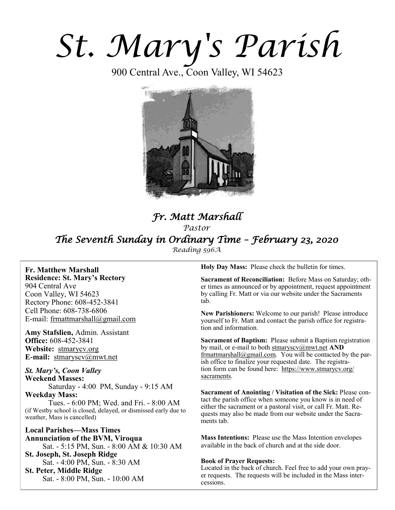# *St. Mary's Parish*

900 Central Ave., Coon Valley, WI 54623



# *Fr. Matt Marshall Pastor The Seventh Sunday in Ordinary Time – February 23, 2020 Reading 596A*

**Fr. Matthew Marshall Residence: St. Mary's Rectory** 904 Central Ave Coon Valley, WI 54623 Rectory Phone: 608-452-3841 Cell Phone: 608-738-6806 E-mail: [frmattmarshall@gmail.com](mailto:frmattmarshall@gmail.com)

**Amy Stafslien,** Admin. Assistant **Office:** 608-452-3841 **Website:** <stmarycv.org> **E-mail:** [stmaryscv@mwt.net](mailto:stmaryscv@mwt.net)

*St. Mary's, Coon Valley*  **Weekend Masses:** Saturday - 4:00 PM, Sunday - 9:15 AM **Weekday Mass:** 

Tues. - 6:00 PM; Wed. and Fri. - 8:00 AM (if Westby school is closed, delayed, or dismissed early due to weather, Mass is cancelled)

**Local Parishes—Mass Times Annunciation of the BVM, Viroqua** Sat. - 5:15 PM, Sun. - 8:00 AM & 10:30 AM **St. Joseph, St. Joseph Ridge** Sat. - 4:00 PM, Sun. - 8:30 AM **St. Peter, Middle Ridge** Sat. - 8:00 PM, Sun. - 10:00 AM

**Holy Day Mass:** Please check the bulletin for times.

**Sacrament of Reconciliation:** Before Mass on Saturday; other times as announced or by appointment, request appointment by calling Fr. Matt or via our website under the Sacraments tab.

**New Parishioners:** Welcome to our parish! Please introduce yourself to Fr. Matt and contact the parish office for registration and information.

**Sacrament of Baptism:** Please submit a Baptism registration by mail, or e-mail to both [stmaryscv@mwt.net](mailto:stmaryscv@mwt.net) **AND** [frmattmarshall@gmail.com](mailto:frmattmarshall@gmail.com)*.* You will be contacted by the parish office to finalize your requested date. The registration form can be found here: [https://www.stmarycv.org/](https://www.stmarycv.org/sacraments) [sacraments.](https://www.stmarycv.org/sacraments) 

**Sacrament of Anointing / Visitation of the Sick:** Please contact the parish office when someone you know is in need of either the sacrament or a pastoral visit, or call Fr. Matt. Requests may also be made from our website under the Sacraments tab.

**Mass Intentions:** Please use the Mass Intention envelopes available in the back of church and at the side door.

#### **Book of Prayer Requests:**

Located in the back of church. Feel free to add your own prayer requests. The requests will be included in the Mass intercessions.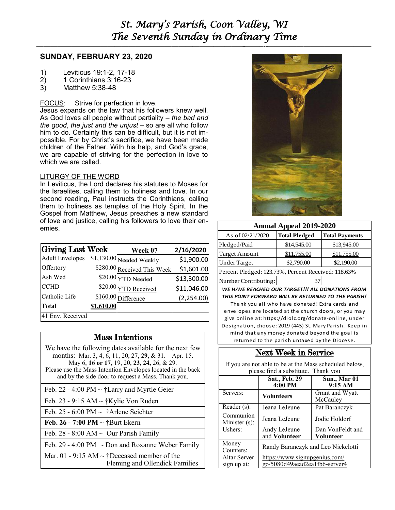# *St. Mary's Parish, Coon Valley, WI The Seventh Sunday in Ordinary Time*

**—————————————————————————–———–-——–--—————————————–—**

### **SUNDAY, FEBRUARY 23, 2020**

- 1) Leviticus 19:1-2, 17-18
- 2) 1 Corinthians 3:16-23
- 3) Matthew 5:38-48

## FOCUS: Strive for perfection in love.

Jesus expands on the law that his followers knew well. As God loves all people without partiality – *the bad and the good*, *the just and the unjust* – so are all who follow him to do. Certainly this can be difficult, but it is not impossible. For by Christ's sacrifice, we have been made children of the Father. With his help, and God's grace, we are capable of striving for the perfection in love to which we are called.

#### LITURGY OF THE WORD

In Leviticus, the Lord declares his statutes to Moses for the Israelites, calling them to holiness and love. In our second reading, Paul instructs the Corinthians, calling them to holiness as temples of the Holy Spirit. In the Gospel from Matthew, Jesus preaches a new standard of love and justice, calling his followers to love their enemies.

| Giving Last Week       |          | Week 07                     | 2/16/2020   |
|------------------------|----------|-----------------------------|-------------|
| <b>Adult Envelopes</b> |          | \$1,130.00 Needed Weekly    | \$1,900.00  |
| Offertory              |          | \$280.00 Received This Week | \$1,601.00  |
| Ash Wed                |          | \$20.00 YTD Needed          | \$13,300.00 |
| <b>CCHD</b>            |          | \$20.00 YTD Received        | \$11,046.00 |
| Catholic Life          |          | \$160.00 Difference         | (2,254.00)  |
| Total                  | 1.610.00 |                             |             |
| 41 Env. Received       |          |                             |             |

# Mass Intentions

- We have the following dates available for the next few months: Mar. 3, 4, 6, 11, 20, 27, **29,** & 31. Apr. 15. May 6, **16 or 17,** 19, 20, **23, 24,** 26, & 29.
- Please use the Mass Intention Envelopes located in the back and by the side door to request a Mass. Thank you.
- Feb. 22 4:00 PM ~ †Larry and Myrtle Geier
- Feb. 23 9:15 AM ~ †Kylie Von Ruden
- Feb. 25 6:00 PM  $\sim$  †Arlene Seichter
- **Feb. 26 - 7:00 PM** ~ †Burt Ekern
- Feb. 28 8:00 AM  $\sim$  Our Parish Family
- Feb. 29 4:00 PM  $\sim$  Don and Roxanne Weber Family
- Mar. 01 9:15 AM  $\sim$  †Deceased member of the Fleming and Ollendick Families



| <b>Annual Appeal 2019-2020</b>                      |                      |                       |  |  |
|-----------------------------------------------------|----------------------|-----------------------|--|--|
| As of 02/21/2020                                    | <b>Total Pledged</b> | <b>Total Payments</b> |  |  |
| Pledged/Paid                                        | \$14,545.00          | \$13,945.00           |  |  |
| <b>Target Amount</b>                                | \$11,755.00          | \$11,755.00           |  |  |
| <b>Under Target</b>                                 | \$2,790.00           | \$2,190.00            |  |  |
| Percent Pledged: 123.73%, Percent Received: 118.63% |                      |                       |  |  |
| Number Contributing:                                | 37                   |                       |  |  |

*WE HAVE REACHED OUR TARGET!!! ALL DONATIONS FROM THIS POINT FORWARD WILL BE RETURNED TO THE PARISH!* 

Thank you all who have donated! Extra cards and envelopes are located at the church doors, or you may give online at: https://diolc.org/donate-online, under Designation, choose: 2019 (445) St. Mary Parish. Keep in mind that any money donated beyond the goal is returned to the parish untaxed by the Diocese.

# Next Week in Service

If you are not able to be at the Mass scheduled below, please find a substitute. Thank you

|                                    | Sat., Feb. 29<br>4:00 PM                                       | Sun., Mar 01<br>9:15 AM       |
|------------------------------------|----------------------------------------------------------------|-------------------------------|
| Servers:                           | <b>Volunteers</b>                                              | Grant and Wyatt<br>McCauley   |
| Reader (s):                        | Jeana LeJeune                                                  | Pat Baranczyk                 |
| Communion<br>Minister $(s)$ :      | Jeana LeJeune                                                  | Jodie Holdorf                 |
| Ushers:                            | Andy LeJeune<br>and Volunteer                                  | Dan VonFeldt and<br>Volunteer |
| Money<br>Counters:                 | Randy Baranczyk and Leo Nickelotti                             |                               |
| <b>Altar Server</b><br>sign up at: | https://www.signupgenius.com/<br>go/5080d49aead2ea1fb6-server4 |                               |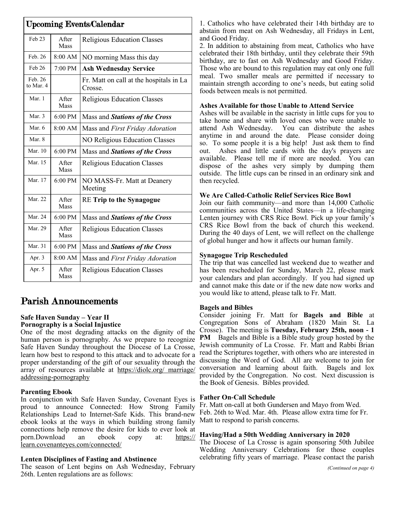| <b>Upcoming Events/Calendar</b> |                       |                                                    |  |
|---------------------------------|-----------------------|----------------------------------------------------|--|
| Feb 23                          | After<br>Mass         | Religious Education Classes                        |  |
| Feb. 26                         | $8:00$ AM             | NO morning Mass this day                           |  |
| Feb 26                          | $7:00 \text{ PM}$     | <b>Ash Wednesday Service</b>                       |  |
| Feb. 26<br>to Mar. 4            |                       | Fr. Matt on call at the hospitals in La<br>Crosse. |  |
| Mar. 1                          | After<br><b>Mass</b>  | Religious Education Classes                        |  |
| Mar. $3$                        | $6:00 \text{ PM}$     | Mass and Stations of the Cross                     |  |
| Mar. 6                          | 8:00 AM               | Mass and First Friday Adoration                    |  |
| Mar. 8                          |                       | NO Religious Education Classes                     |  |
| Mar. 10                         | $6:00 \text{ PM}$     | Mass and Stations of the Cross                     |  |
| Mar. 15                         | After<br>Mass         | <b>Religious Education Classes</b>                 |  |
| Mar. 17                         | $6:00 \text{ PM}$     | NO MASS-Fr. Matt at Deanery<br>Meeting             |  |
| Mar. 22                         | <b>A</b> fter<br>Mass | <b>RE Trip to the Synagogue</b>                    |  |
| Mar. 24                         | $6:00 \text{ PM}$     | Mass and Stations of the Cross                     |  |
| Mar. 29                         | After<br>Mass         | <b>Religious Education Classes</b>                 |  |
| Mar. 31                         | $6:00 \text{ PM}$     | Mass and Stations of the Cross                     |  |
| Apr. 3                          | $8:00$ AM             | Mass and First Friday Adoration                    |  |
| Apr. 5                          | <b>A</b> fter<br>Mass | <b>Religious Education Classes</b>                 |  |

# Parish Announcements

#### **Safe Haven Sunday – Year II Pornography is a Social Injustice**

One of the most degrading attacks on the dignity of the human person is pornography. As we prepare to recognize Safe Haven Sunday throughout the Diocese of La Crosse, learn how best to respond to this attack and to advocate for a proper understanding of the gift of our sexuality through the array of resources available at [https://diolc.org/ marriage/](https://diolc.org/%20marriage/addressing-pornography) [addressing-pornography](https://diolc.org/%20marriage/addressing-pornography)

#### **Parenting Ebook**

In conjunction with Safe Haven Sunday, Covenant Eyes is proud to announce Connected: How Strong Family Relationships Lead to Internet-Safe Kids. This brand-new ebook looks at the ways in which building strong family connections help remove the desire for kids to ever look at porn.Download an ebook copy at: [https://](https://learn.covenanteyes.com/connected/) [learn.covenanteyes.com/connected/](https://learn.covenanteyes.com/connected/)

### **Lenten Disciplines of Fasting and Abstinence**

The season of Lent begins on Ash Wednesday, February 26th. Lenten regulations are as follows:

1. Catholics who have celebrated their 14th birthday are to abstain from meat on Ash Wednesday, all Fridays in Lent, and Good Friday.

2. In addition to abstaining from meat, Catholics who have celebrated their 18th birthday, until they celebrate their 59th birthday, are to fast on Ash Wednesday and Good Friday. Those who are bound to this regulation may eat only one full meal. Two smaller meals are permitted if necessary to maintain strength according to one's needs, but eating solid foods between meals is not permitted.

#### **Ashes Available for those Unable to Attend Service**

Ashes will be available in the sacristy in little cups for you to take home and share with loved ones who were unable to attend Ash Wednesday. You can distribute the ashes anytime in and around the date. Please consider doing so. To some people it is a big help! Just ask them to find out. Ashes and little cards with the day's prayers are available. Please tell me if more are needed. You can dispose of the ashes very simply by dumping them outside. The little cups can be rinsed in an ordinary sink and then recycled.

#### **We Are Called-Catholic Relief Services Rice Bowl**

Join our faith community—and more than 14,000 Catholic communities across the United States—in a life-changing Lenten journey with CRS Rice Bowl. Pick up your family's CRS Rice Bowl from the back of church this weekend. During the 40 days of Lent, we will reflect on the challenge of global hunger and how it affects our human family.

#### **Synagogue Trip Rescheduled**

The trip that was cancelled last weekend due to weather and has been rescheduled for Sunday, March 22, please mark your calendars and plan accordingly. If you had signed up and cannot make this date or if the new date now works and you would like to attend, please talk to Fr. Matt.

#### **Bagels and Bibles**

Consider joining Fr. Matt for **Bagels and Bible** at Congregation Sons of Abraham (1820 Main St. La Crosse). The meeting is **Tuesday, February 25th, noon - 1 PM** Bagels and Bible is a Bible study group hosted by the Jewish community of La Crosse. Fr. Matt and Rabbi Brian read the Scriptures together, with others who are interested in discussing the Word of God. All are welcome to join for conversation and learning about faith. Bagels and lox provided by the Congregation. No cost. Next discussion is the Book of Genesis. Bibles provided.

#### **Father On-Call Schedule**

Fr. Matt on-call at both Gundersen and Mayo from Wed. Feb. 26th to Wed. Mar. 4th. Please allow extra time for Fr. Matt to respond to parish concerns.

#### **Having/Had a 50th Wedding Anniversary in 2020**

The Diocese of La Crosse is again sponsoring 50th Jubilee Wedding Anniversary Celebrations for those couples celebrating fifty years of marriage. Please contact the parish